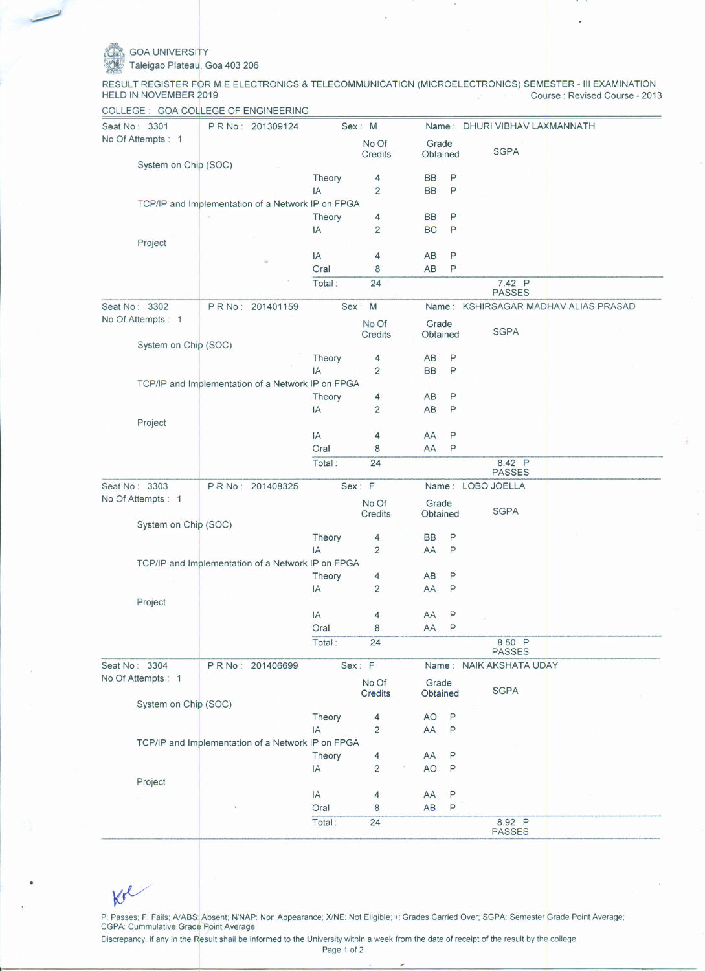## **GOA UNIVERSITY**

Taleigao Plateau, Goa 403 206

RESULT REGISTER FOR M.E ELECTRONICS & TELECOMMUNICATION (MICROELECTRONICS) SEMESTER - III EXAMINATION<br>HELD IN NOVEMBER 2019 Course: Revised Course - 2013

| Seat No: 3301                                     | PR No: 201309124 |                | Sex: M              |                        |              | Name: DHURI VIBHAV LAXMANNATH |                                |
|---------------------------------------------------|------------------|----------------|---------------------|------------------------|--------------|-------------------------------|--------------------------------|
| No Of Attempts: 1                                 |                  |                | No Of<br>Credits    | Grade<br>Obtained      |              | <b>SGPA</b>                   |                                |
| System on Chip (SOC)                              |                  |                |                     |                        |              |                               |                                |
|                                                   |                  | Theory         | 4                   | <b>BB</b>              | P            |                               |                                |
|                                                   |                  | IA             | 2                   | <b>BB</b>              | P            |                               |                                |
| TCP/IP and Implementation of a Network IP on FPGA |                  |                |                     |                        |              |                               |                                |
|                                                   |                  | Theory<br>IA   | 4<br>$\overline{2}$ | <b>BB</b><br><b>BC</b> | P<br>P       |                               |                                |
| Project                                           |                  |                |                     |                        |              |                               |                                |
|                                                   |                  | IA             | 4                   | AB                     | P            |                               |                                |
|                                                   |                  | Oral           | 8                   | AB                     | P            |                               |                                |
|                                                   |                  | Total:         | 24                  |                        |              | 7.42 P                        |                                |
| Seat No: 3302                                     | PR No: 201401159 |                | Sex: M              | Name :                 |              | <b>PASSES</b>                 | KSHIRSAGAR MADHAV ALIAS PRASAD |
| No Of Attempts : 1                                |                  |                | No Of               |                        |              |                               |                                |
|                                                   |                  |                | Credits             | Grade<br>Obtained      |              | <b>SGPA</b>                   |                                |
| System on Chip (SOC)                              |                  |                |                     |                        |              |                               |                                |
|                                                   |                  | Theory         | 4                   | AB                     | Ρ            |                               |                                |
|                                                   |                  | IA             | 2                   | <b>BB</b>              | P            |                               |                                |
| TCP/IP and Implementation of a Network IP on FPGA |                  |                |                     |                        |              |                               |                                |
|                                                   |                  | Theory         | 4                   | AB                     | P            |                               |                                |
|                                                   |                  | IA             | $\overline{2}$      | AB                     | P            |                               |                                |
| Project                                           |                  |                |                     |                        |              |                               |                                |
|                                                   |                  | IA             | 4                   | AA                     | P            |                               |                                |
|                                                   |                  | Oral           | 8                   | AA                     | P            |                               |                                |
|                                                   |                  | Total:         | 24                  |                        |              | 8.42 P<br><b>PASSES</b>       |                                |
| Seat No: 3303                                     | PR No: 201408325 |                | Sex: F              |                        |              | Name: LOBO JOELLA             |                                |
| No Of Attempts : 1                                |                  |                | No Of               | Grade                  |              |                               |                                |
|                                                   |                  |                | Credits             | Obtained               |              | <b>SGPA</b>                   |                                |
| System on Chip (SOC)                              |                  |                |                     |                        |              |                               |                                |
|                                                   |                  | Theory         | 4                   | BB                     | P            |                               |                                |
|                                                   |                  | IA             | $\overline{2}$      | AA                     | P            |                               |                                |
| TCP/IP and Implementation of a Network IP on FPGA |                  |                |                     |                        |              |                               |                                |
|                                                   |                  | Theory         | 4                   | AB                     | P            |                               |                                |
|                                                   |                  | IA             | $\overline{2}$      | AA                     | Ρ            |                               |                                |
| Project                                           |                  | IA             | 4                   | AA                     | P            |                               |                                |
|                                                   |                  |                | 8                   |                        | $\mathsf{P}$ |                               |                                |
|                                                   |                  | Oral<br>Total: | 24                  | AA                     |              |                               |                                |
|                                                   |                  |                |                     |                        |              | 8.50 P<br>PASSES              |                                |
| Seat No: 3304                                     | PRNo: 201406699  |                | Sex: F              |                        |              | Name: NAIK AKSHATA UDAY       |                                |
| No Of Attempts : 1                                |                  |                | No Of               | Grade                  |              | <b>SGPA</b>                   |                                |
| System on Chip (SOC)                              |                  |                | <b>Credits</b>      | Obtained               |              |                               |                                |
|                                                   |                  | Theory         | 4                   | <b>AO</b>              | P            |                               |                                |
|                                                   |                  | IA             | $\overline{2}$      | AA                     | P            |                               |                                |
| TCP/IP and Implementation of a Network IP on FPGA |                  |                |                     |                        |              |                               |                                |
|                                                   |                  | Theory         | 4                   | AA                     | $\mathsf P$  |                               |                                |
|                                                   |                  | IA             | $\overline{2}$      | <b>AO</b>              | P            |                               |                                |
| Project                                           |                  |                |                     |                        |              |                               |                                |
|                                                   |                  | IA             | 4                   | AA                     | P            |                               |                                |
|                                                   |                  |                |                     |                        |              |                               |                                |
|                                                   |                  | Oral           |                     |                        |              |                               |                                |
|                                                   |                  | Total:         | 8<br>24             | AB                     | $\mathsf{P}$ | 8.92 P                        |                                |

 $K^{\ell}$ 

P: Passes; F: Fails; A/ABS: Absent; N/NAP: Non Appearance; X/NE: Not Eligible; +: Grades Carried Over; SGPA: Semester Grade Point Average; CGPA: Cummulative Grade Point Average

Discrepancy, if any in the Result shall be informed to the University within a week from the date of receipt of the result by the college

Page 1 of 2